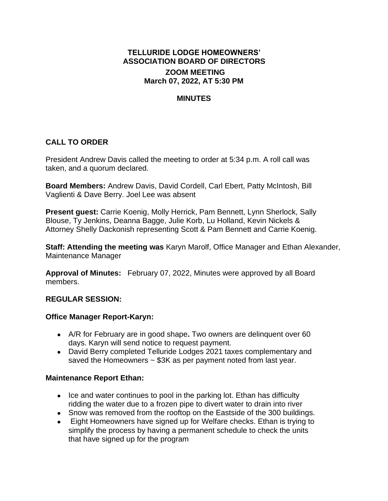# **TELLURIDE LODGE HOMEOWNERS' ASSOCIATION BOARD OF DIRECTORS ZOOM MEETING March 07, 2022, AT 5:30 PM**

## **MINUTES**

# **CALL TO ORDER**

President Andrew Davis called the meeting to order at 5:34 p.m. A roll call was taken, and a quorum declared.

**Board Members:** Andrew Davis, David Cordell, Carl Ebert, Patty McIntosh, Bill Vaglienti & Dave Berry. Joel Lee was absent

**Present guest:** Carrie Koenig, Molly Herrick, Pam Bennett, Lynn Sherlock, Sally Blouse, Ty Jenkins, Deanna Bagge, Julie Korb, Lu Holland, Kevin Nickels & Attorney Shelly Dackonish representing Scott & Pam Bennett and Carrie Koenig.

**Staff: Attending the meeting was** Karyn Marolf, Office Manager and Ethan Alexander, Maintenance Manager

**Approval of Minutes:** February 07, 2022, Minutes were approved by all Board members.

#### **REGULAR SESSION:**

#### **Office Manager Report-Karyn:**

- A/R for February are in good shape**.** Two owners are delinquent over 60 days. Karyn will send notice to request payment.
- David Berry completed Telluride Lodges 2021 taxes complementary and saved the Homeowners  $\sim$  \$3K as per payment noted from last year.

#### **Maintenance Report Ethan:**

- Ice and water continues to pool in the parking lot. Ethan has difficulty ridding the water due to a frozen pipe to divert water to drain into river
- Snow was removed from the rooftop on the Eastside of the 300 buildings.
- Eight Homeowners have signed up for Welfare checks. Ethan is trying to simplify the process by having a permanent schedule to check the units that have signed up for the program